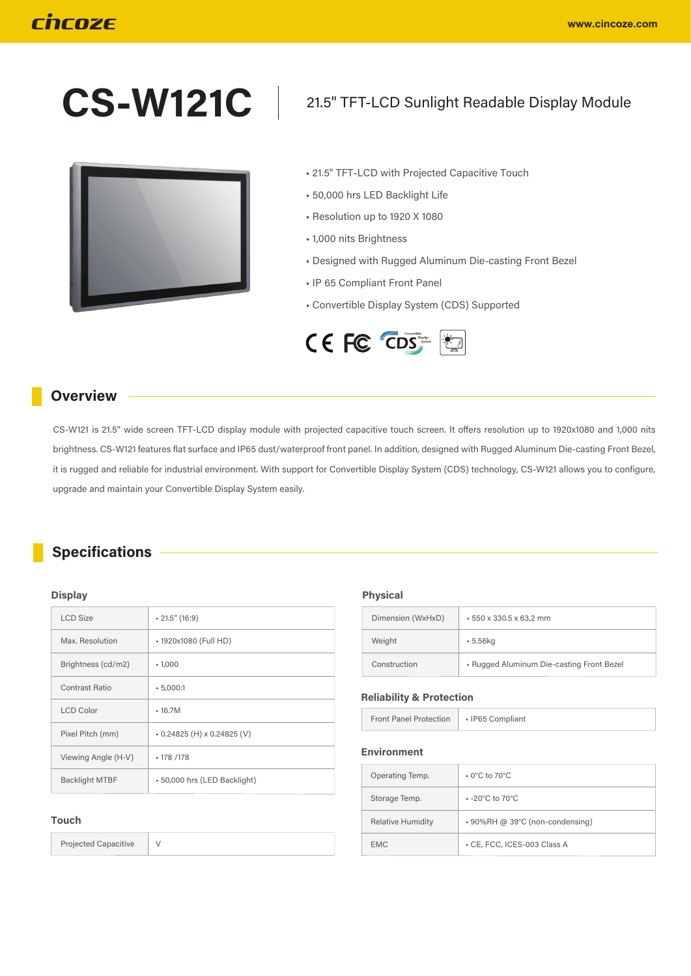# **CS-W121C**



## 21.5" TFT-LCD Sunlight Readable Display Module

- 21.5" TFT-LCD with Projected Capacitive Touch
- 50,000 hrs LED Backlight Life
- Resolution up to 1920 X 1080
- 1,000 nits Brightness
- Designed with Rugged Aluminum Die-casting Front Bezel
- IP 65 Compliant Front Panel
- Convertible Display System (CDS) Supported



#### **Overview**

CS-W121 is 21.5" wide screen TFT-LCD display module with projected capacitive touch screen. It offers resolution up to 1920x1080 and 1,000 nits brightness. CS-W121 features flat surface and IP65 dust/waterproof front panel. In addition, designed with Rugged Aluminum Die-casting Front Bezel, it is rugged and reliable for industrial environment. With support for Convertible Display System (CDS) technology, CS-W121 allows you to configure, upgrade and maintain your Convertible Display System easily.

### **Specifications**

#### **Display**

| <b>LCD Size</b>       | $-21.5''(16.9)$              |
|-----------------------|------------------------------|
| Max. Resolution       | - 1920x1080 (Full HD)        |
| Brightness (cd/m2)    | $-1,000$                     |
| Contrast Ratio        | $-5,000:1$                   |
| <b>LCD Color</b>      | $-16.7M$                     |
| Pixel Pitch (mm)      | $-0.24825$ (H) x 0.24825 (V) |
| Viewing Angle (H-V)   | • 178 / 178                  |
| <b>Backlight MTBF</b> | - 50,000 hrs (LED Backlight) |

#### **Touch**

Projected Capacitive V

**Physical**

| Dimension (WxHxD) | $-550 \times 330.5 \times 63.2$ mm        |
|-------------------|-------------------------------------------|
| Weight            | $-5.56$ kg                                |
| Construction      | - Rugged Aluminum Die-casting Front Bezel |

#### **Reliability & Protection**

|  | <b>Front Panel Protection</b> | - IP65 Compliant |  |
|--|-------------------------------|------------------|--|
|--|-------------------------------|------------------|--|

#### **Environment**

| Operating Temp.          | $\cdot$ 0°C to 70°C                |
|--------------------------|------------------------------------|
| Storage Temp.            | $-20^{\circ}$ C to 70 $^{\circ}$ C |
| <b>Relative Humidity</b> | ⋅ 90%RH @ 39°C (non-condensing)    |
| <b>EMC</b>               | - CE, FCC, ICES-003 Class A        |